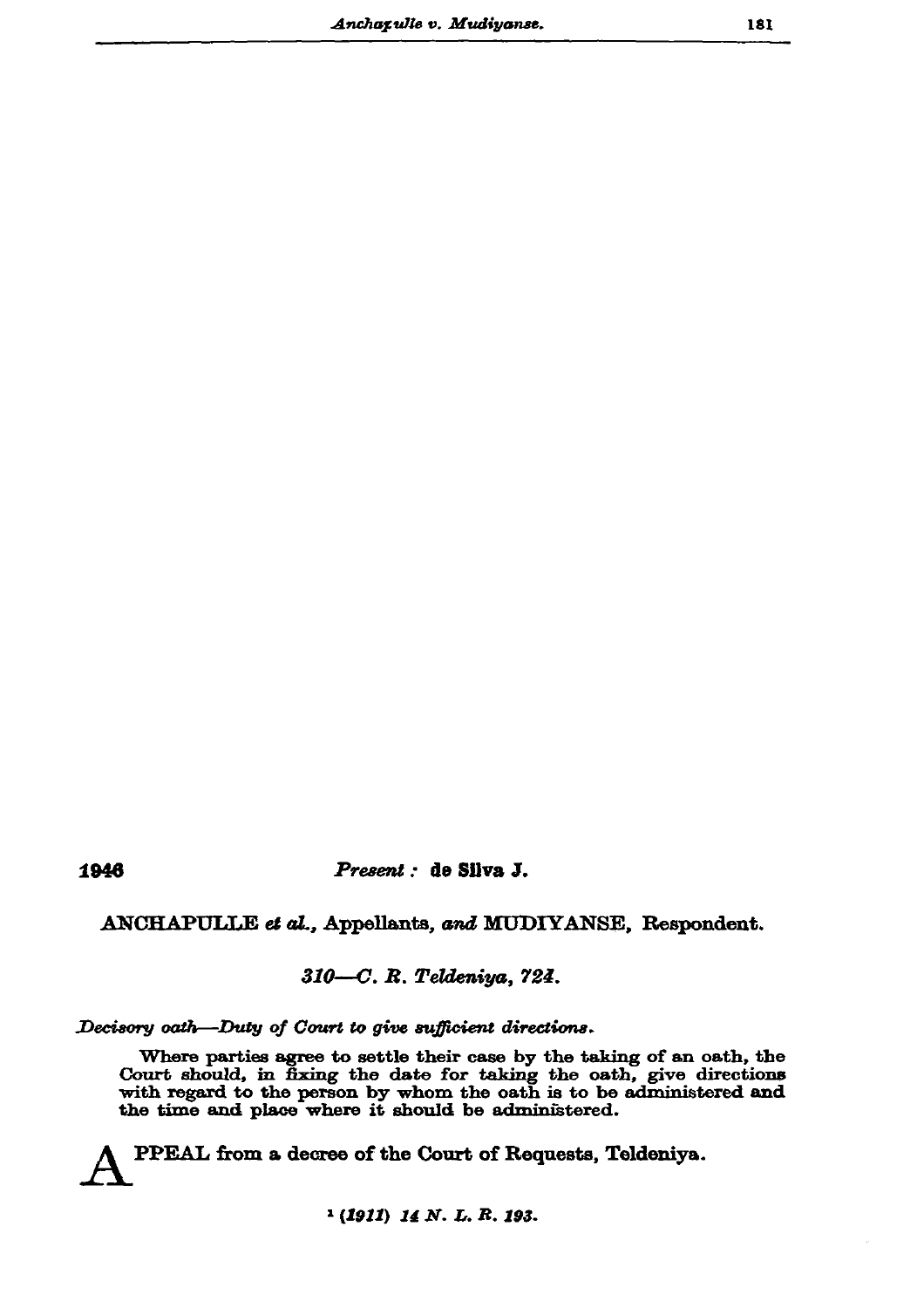1946

## Present : de Silva J.

## ANCHAPULLE et al., Appellants, and MUDIYANSE, Respondent.

## 310-C. R. Teldeniya, 724.

## Decisory oath-Duty of Court to give sufficient directions.

Where parties agree to settle their case by the taking of an oath, the Court should, in fixing the date for taking the oath, give directions with regard to the person by whom the oath is to be administered and the time and place where it should be administered.

PPEAL from a decree of the Court of Requests, Teldeniya.

 $(1911)$  14 N. L. R. 193.